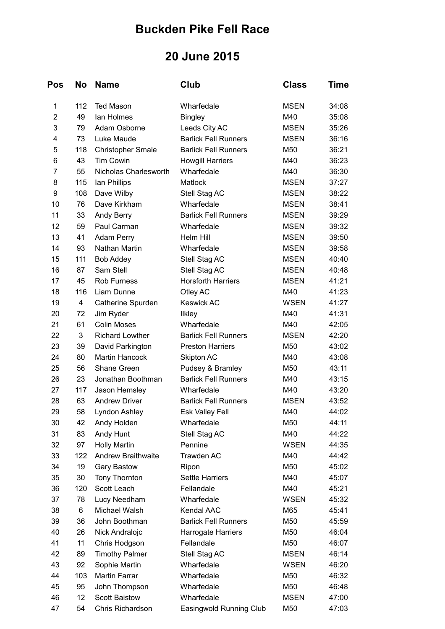## **Buckden Pike Fell Race**

## **20 June 2015**

| Pos            | No  | <b>Name</b>               | Club                        | <b>Class</b> | <b>Time</b> |
|----------------|-----|---------------------------|-----------------------------|--------------|-------------|
| 1              | 112 | <b>Ted Mason</b>          | Wharfedale                  | <b>MSEN</b>  | 34:08       |
| $\overline{2}$ | 49  | lan Holmes                | <b>Bingley</b>              | M40          | 35:08       |
| 3              | 79  | Adam Osborne              | Leeds City AC               | <b>MSEN</b>  | 35:26       |
| 4              | 73  | Luke Maude                | <b>Barlick Fell Runners</b> | <b>MSEN</b>  | 36:16       |
| 5              | 118 | <b>Christopher Smale</b>  | <b>Barlick Fell Runners</b> | M50          | 36:21       |
| 6              | 43  | <b>Tim Cowin</b>          | <b>Howgill Harriers</b>     | M40          | 36:23       |
| $\overline{7}$ | 55  | Nicholas Charlesworth     | Wharfedale                  | M40          | 36:30       |
| 8              | 115 | lan Phillips              | <b>Matlock</b>              | <b>MSEN</b>  | 37:27       |
| 9              | 108 | Dave Wilby                | Stell Stag AC               | <b>MSEN</b>  | 38:22       |
| 10             | 76  | Dave Kirkham              | Wharfedale                  | <b>MSEN</b>  | 38:41       |
| 11             | 33  | Andy Berry                | <b>Barlick Fell Runners</b> | <b>MSEN</b>  | 39:29       |
| 12             | 59  | Paul Carman               | Wharfedale                  | <b>MSEN</b>  | 39:32       |
| 13             | 41  | Adam Perry                | Helm Hill                   | <b>MSEN</b>  | 39:50       |
| 14             | 93  | Nathan Martin             | Wharfedale                  | <b>MSEN</b>  | 39:58       |
| 15             | 111 | <b>Bob Addey</b>          | Stell Stag AC               | <b>MSEN</b>  | 40:40       |
| 16             | 87  | Sam Stell                 | Stell Stag AC               | <b>MSEN</b>  | 40:48       |
| 17             | 45  | <b>Rob Furness</b>        | <b>Horsforth Harriers</b>   | <b>MSEN</b>  | 41:21       |
| 18             | 116 | Liam Dunne                | Otley AC                    | M40          | 41:23       |
| 19             | 4   | Catherine Spurden         | <b>Keswick AC</b>           | <b>WSEN</b>  | 41:27       |
| 20             | 72  | Jim Ryder                 | <b>Ilkley</b>               | M40          | 41:31       |
| 21             | 61  | <b>Colin Moses</b>        | Wharfedale                  | M40          | 42:05       |
| 22             | 3   | <b>Richard Lowther</b>    | <b>Barlick Fell Runners</b> | <b>MSEN</b>  | 42:20       |
| 23             | 39  | David Parkington          | <b>Preston Harriers</b>     | M50          | 43:02       |
| 24             | 80  | <b>Martin Hancock</b>     | Skipton AC                  | M40          | 43:08       |
| 25             | 56  | Shane Green               | Pudsey & Bramley            | M50          | 43:11       |
| 26             | 23  | Jonathan Boothman         | <b>Barlick Fell Runners</b> | M40          | 43:15       |
| 27             | 117 | Jason Hemsley             | Wharfedale                  | M40          | 43:20       |
| 28             | 63  | <b>Andrew Driver</b>      | <b>Barlick Fell Runners</b> | <b>MSEN</b>  | 43:52       |
| 29             | 58  | Lyndon Ashley             | <b>Esk Valley Fell</b>      | M40          | 44:02       |
| 30             | 42  | Andy Holden               | Wharfedale                  | M50          | 44:11       |
| 31             | 83  | Andy Hunt                 | Stell Stag AC               | M40          | 44:22       |
| 32             | 97  | <b>Holly Martin</b>       | Pennine                     | <b>WSEN</b>  | 44:35       |
| 33             | 122 | <b>Andrew Braithwaite</b> | Trawden AC                  | M40          | 44:42       |
| 34             | 19  | <b>Gary Bastow</b>        | Ripon                       | M50          | 45:02       |
| 35             | 30  | Tony Thornton             | Settle Harriers             | M40          | 45:07       |
| 36             | 120 | Scott Leach               | Fellandale                  | M40          | 45:21       |
| 37             | 78  | Lucy Needham              | Wharfedale                  | <b>WSEN</b>  | 45:32       |
| 38             | 6   | Michael Walsh             | Kendal AAC                  | M65          | 45:41       |
| 39             | 36  | John Boothman             | <b>Barlick Fell Runners</b> | M50          | 45:59       |
| 40             | 26  | Nick Andralojc            | Harrogate Harriers          | M50          | 46:04       |
| 41             | 11  | Chris Hodgson             | Fellandale                  | M50          | 46:07       |
| 42             | 89  | <b>Timothy Palmer</b>     | Stell Stag AC               | <b>MSEN</b>  | 46:14       |
| 43             | 92  | Sophie Martin             | Wharfedale                  | <b>WSEN</b>  | 46:20       |
| 44             | 103 | <b>Martin Farrar</b>      | Wharfedale                  | M50          | 46:32       |
| 45             | 95  | John Thompson             | Wharfedale                  | M50          | 46:48       |
| 46             | 12  | <b>Scott Baistow</b>      | Wharfedale                  | <b>MSEN</b>  | 47:00       |
| 47             | 54  | Chris Richardson          | Easingwold Running Club     | M50          | 47:03       |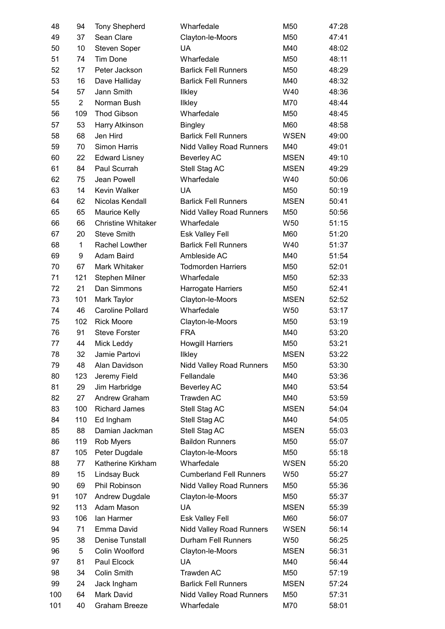| 48  | 94             | <b>Tony Shepherd</b>      | Wharfedale                      | M50             | 47:28 |
|-----|----------------|---------------------------|---------------------------------|-----------------|-------|
| 49  | 37             | Sean Clare                | Clayton-le-Moors                | M50             | 47:41 |
| 50  | 10             | Steven Soper              | UA                              | M40             | 48:02 |
| 51  | 74             | <b>Tim Done</b>           | Wharfedale                      | M50             | 48:11 |
| 52  | 17             | Peter Jackson             | <b>Barlick Fell Runners</b>     | M50             | 48:29 |
| 53  | 16             | Dave Halliday             | <b>Barlick Fell Runners</b>     | M40             | 48:32 |
| 54  | 57             | Jann Smith                | <b>Ilkley</b>                   | W40             | 48:36 |
| 55  | $\overline{2}$ | Norman Bush               | <b>Ilkley</b>                   | M70             | 48:44 |
| 56  | 109            | <b>Thod Gibson</b>        | Wharfedale                      | M50             | 48:45 |
| 57  | 53             | Harry Atkinson            | <b>Bingley</b>                  | M60             | 48:58 |
| 58  | 68             | Jen Hird                  | <b>Barlick Fell Runners</b>     | <b>WSEN</b>     | 49:00 |
| 59  | 70             | Simon Harris              | <b>Nidd Valley Road Runners</b> | M40             | 49:01 |
| 60  | 22             | <b>Edward Lisney</b>      | <b>Beverley AC</b>              | <b>MSEN</b>     | 49:10 |
| 61  | 84             | Paul Scurrah              | Stell Stag AC                   | <b>MSEN</b>     | 49:29 |
| 62  | 75             | Jean Powell               | Wharfedale                      | W40             | 50:06 |
| 63  | 14             | Kevin Walker              | <b>UA</b>                       | M50             | 50:19 |
| 64  | 62             | Nicolas Kendall           | <b>Barlick Fell Runners</b>     | <b>MSEN</b>     | 50:41 |
| 65  | 65             | <b>Maurice Kelly</b>      | <b>Nidd Valley Road Runners</b> | M50             | 50:56 |
| 66  | 66             | <b>Christine Whitaker</b> | Wharfedale                      | W <sub>50</sub> | 51:15 |
| 67  | 20             | <b>Steve Smith</b>        | Esk Valley Fell                 | M60             | 51:20 |
| 68  | 1              | Rachel Lowther            | <b>Barlick Fell Runners</b>     | W40             | 51:37 |
| 69  | 9              | Adam Baird                | Ambleside AC                    | M40             | 51:54 |
| 70  | 67             | Mark Whitaker             | <b>Todmorden Harriers</b>       |                 | 52:01 |
|     |                |                           |                                 | M50             |       |
| 71  | 121            | Stephen Milner            | Wharfedale                      | M50             | 52:33 |
| 72  | 21             | Dan Simmons               | Harrogate Harriers              | M50             | 52:41 |
| 73  | 101            | Mark Taylor               | Clayton-le-Moors                | <b>MSEN</b>     | 52:52 |
| 74  | 46             | <b>Caroline Pollard</b>   | Wharfedale                      | W <sub>50</sub> | 53:17 |
| 75  | 102            | <b>Rick Moore</b>         | Clayton-le-Moors                | M50             | 53:19 |
| 76  | 91             | <b>Steve Forster</b>      | <b>FRA</b>                      | M40             | 53:20 |
| 77  | 44             | Mick Leddy                | <b>Howgill Harriers</b>         | M50             | 53:21 |
| 78  | 32             | Jamie Partovi             | <b>Ilkley</b>                   | <b>MSEN</b>     | 53:22 |
| 79  | 48             | Alan Davidson             | Nidd Valley Road Runners        | M50             | 53:30 |
| 80  | 123            | Jeremy Field              | Fellandale                      | M40             | 53:36 |
| 81  | 29             | Jim Harbridge             | <b>Beverley AC</b>              | M40             | 53:54 |
| 82  | 27             | Andrew Graham             | Trawden AC                      | M40             | 53:59 |
| 83  | 100            | <b>Richard James</b>      | Stell Stag AC                   | <b>MSEN</b>     | 54:04 |
| 84  | 110            | Ed Ingham                 | Stell Stag AC                   | M40             | 54:05 |
| 85  | 88             | Damian Jackman            | Stell Stag AC                   | <b>MSEN</b>     | 55:03 |
| 86  | 119            | Rob Myers                 | <b>Baildon Runners</b>          | M50             | 55:07 |
| 87  | 105            | Peter Dugdale             | Clayton-le-Moors                | M50             | 55:18 |
| 88  | 77             | Katherine Kirkham         | Wharfedale                      | <b>WSEN</b>     | 55:20 |
| 89  | 15             | <b>Lindsay Buck</b>       | <b>Cumberland Fell Runners</b>  | W50             | 55:27 |
| 90  | 69             | Phil Robinson             | <b>Nidd Valley Road Runners</b> | M50             | 55:36 |
| 91  | 107            | Andrew Dugdale            | Clayton-le-Moors                | M50             | 55:37 |
| 92  | 113            | Adam Mason                | <b>UA</b>                       | <b>MSEN</b>     | 55:39 |
| 93  | 106            | lan Harmer                | Esk Valley Fell                 | M60             | 56:07 |
| 94  | 71             | Emma David                | <b>Nidd Valley Road Runners</b> | <b>WSEN</b>     | 56:14 |
| 95  | 38             | Denise Tunstall           | Durham Fell Runners             | W <sub>50</sub> | 56:25 |
| 96  | 5              | Colin Woolford            | Clayton-le-Moors                | <b>MSEN</b>     | 56:31 |
| 97  | 81             | Paul Elcock               | UA                              | M40             | 56:44 |
| 98  | 34             | <b>Colin Smith</b>        | Trawden AC                      | M50             | 57:19 |
| 99  | 24             | Jack Ingham               | <b>Barlick Fell Runners</b>     | <b>MSEN</b>     | 57:24 |
| 100 | 64             | Mark David                | Nidd Valley Road Runners        | M50             | 57:31 |
| 101 | 40             | <b>Graham Breeze</b>      | Wharfedale                      | M70             | 58:01 |